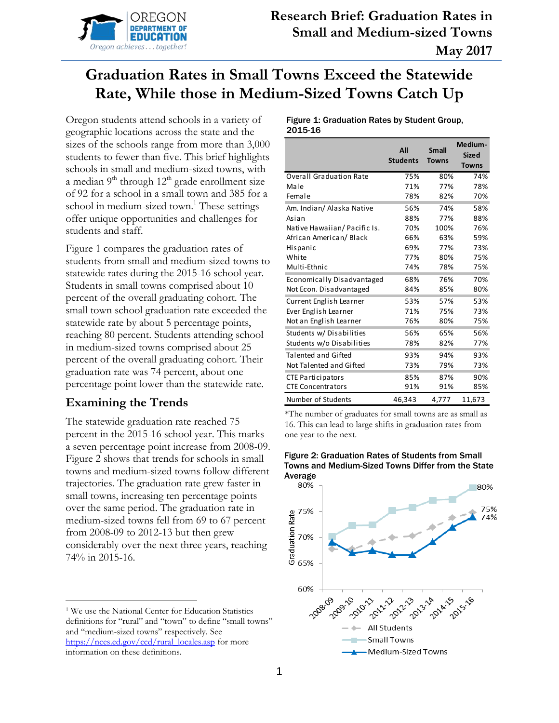

# **Graduation Rates in Small Towns Exceed the Statewide Rate, While those in Medium-Sized Towns Catch Up**

Oregon students attend schools in a variety of geographic locations across the state and the sizes of the schools range from more than 3,000 students to fewer than five. This brief highlights schools in small and medium-sized towns, with a median  $9<sup>th</sup>$  through  $12<sup>th</sup>$  grade enrollment size of 92 for a school in a small town and 385 for a school in medium-sized town. <sup>1</sup> These settings offer unique opportunities and challenges for students and staff.

Figure 1 compares the graduation rates of students from small and medium-sized towns to statewide rates during the 2015-16 school year. Students in small towns comprised about 10 percent of the overall graduating cohort. The small town school graduation rate exceeded the statewide rate by about 5 percentage points, reaching 80 percent. Students attending school in medium-sized towns comprised about 25 percent of the overall graduating cohort. Their graduation rate was 74 percent, about one percentage point lower than the statewide rate.

# **Examining the Trends**

 $\overline{a}$ 

The statewide graduation rate reached 75 percent in the 2015-16 school year. This marks a seven percentage point increase from 2008-09. Figure 2 shows that trends for schools in small towns and medium-sized towns follow different trajectories. The graduation rate grew faster in small towns, increasing ten percentage points over the same period. The graduation rate in medium-sized towns fell from 69 to 67 percent from 2008-09 to 2012-13 but then grew considerably over the next three years, reaching 74% in 2015-16.

#### Figure 1: Graduation Rates by Student Group, 2015-16

|                                | All<br><b>Students</b> | <b>Small</b><br><b>Towns</b> | Medium-<br><b>Sized</b><br><b>Towns</b> |
|--------------------------------|------------------------|------------------------------|-----------------------------------------|
| <b>Overall Graduation Rate</b> | 75%                    | 80%                          | 74%                                     |
| Male                           | 71%                    | 77%                          | 78%                                     |
| Female                         | 78%                    | 82%                          | 70%                                     |
| Am. Indian/ Alaska Native      | 56%                    | 74%                          | 58%                                     |
| Asian                          | 88%                    | 77%                          | 88%                                     |
| Native Hawaiian/Pacific Is.    | 70%                    | 100%                         | 76%                                     |
| African American/Black         | 66%                    | 63%                          | 59%                                     |
| Hispanic                       | 69%                    | 77%                          | 73%                                     |
| White                          | 77%                    | 80%                          | 75%                                     |
| Multi-Ethnic                   | 74%                    | 78%                          | 75%                                     |
| Economically Disadvantaged     | 68%                    | 76%                          | 70%                                     |
| Not Econ. Disadvantaged        | 84%                    | 85%                          | 80%                                     |
| Current English Learner        | 53%                    | 57%                          | 53%                                     |
| Ever English Learner           | 71%                    | 75%                          | 73%                                     |
| Not an English Learner         | 76%                    | 80%                          | 75%                                     |
| Students w/Disabilities        | 56%                    | 65%                          | 56%                                     |
| Students w/o Disabilities      | 78%                    | 82%                          | 77%                                     |
| <b>Talented and Gifted</b>     | 93%                    | 94%                          | 93%                                     |
| Not Talented and Gifted        | 73%                    | 79%                          | 73%                                     |
| <b>CTE Participators</b>       | 85%                    | 87%                          | 90%                                     |
| <b>CTE Concentrators</b>       | 91%                    | 91%                          | 85%                                     |
| Number of Students             | 46,343                 | 4,777                        | 11,673                                  |

\*The number of graduates for small towns are as small as 16. This can lead to large shifts in graduation rates from one year to the next.



# Figure 2: Graduation Rates of Students from Small Towns and Medium-Sized Towns Differ from the State

<sup>1</sup> We use the National Center for Education Statistics definitions for "rural" and "town" to define "small towns" and "medium-sized towns" respectively. See [https://nces.ed.gov/ccd/rural\\_locales.asp](https://nces.ed.gov/ccd/rural_locales.asp) for more information on these definitions.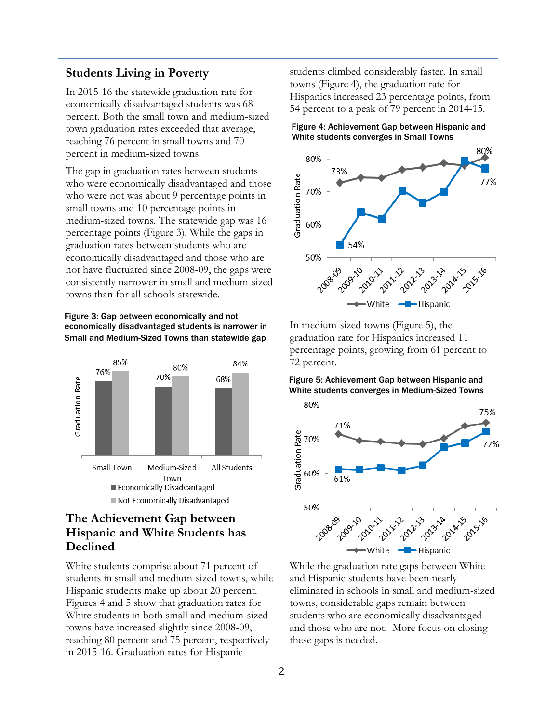### **Students Living in Poverty**

In 2015-16 the statewide graduation rate for economically disadvantaged students was 68 percent. Both the small town and medium-sized town graduation rates exceeded that average, reaching 76 percent in small towns and 70 percent in medium-sized towns.

The gap in graduation rates between students who were economically disadvantaged and those who were not was about 9 percentage points in small towns and 10 percentage points in medium-sized towns. The statewide gap was 16 percentage points (Figure 3). While the gaps in graduation rates between students who are economically disadvantaged and those who are not have fluctuated since 2008-09, the gaps were consistently narrower in small and medium-sized towns than for all schools statewide.

#### Figure 3: Gap between economically and not economically disadvantaged students is narrower in Small and Medium-Sized Towns than statewide gap



# **The Achievement Gap between Hispanic and White Students has Declined**

White students comprise about 71 percent of students in small and medium-sized towns, while Hispanic students make up about 20 percent. Figures 4 and 5 show that graduation rates for White students in both small and medium-sized towns have increased slightly since 2008-09, reaching 80 percent and 75 percent, respectively in 2015-16. Graduation rates for Hispanic

students climbed considerably faster. In small towns (Figure 4), the graduation rate for Hispanics increased 23 percentage points, from 54 percent to a peak of 79 percent in 2014-15.





In medium-sized towns (Figure 5), the graduation rate for Hispanics increased 11 percentage points, growing from 61 percent to 72 percent.

Figure 5: Achievement Gap between Hispanic and White students converges in Medium-Sized Towns



While the graduation rate gaps between White and Hispanic students have been nearly eliminated in schools in small and medium-sized towns, considerable gaps remain between students who are economically disadvantaged and those who are not. More focus on closing these gaps is needed.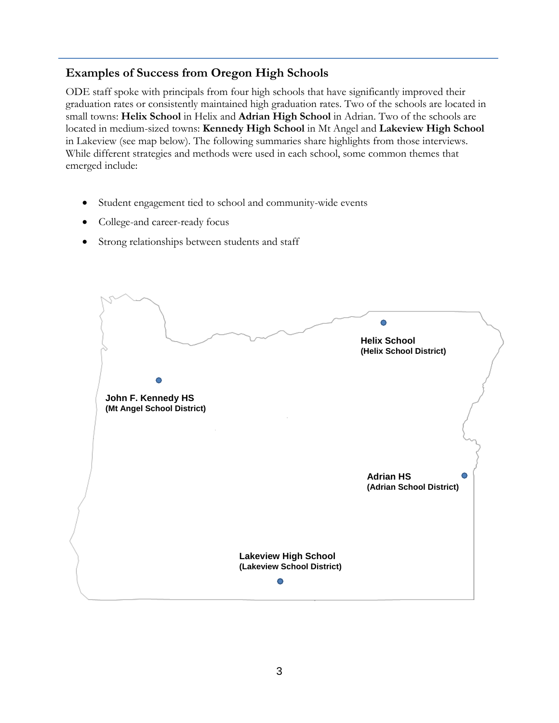# **Examples of Success from Oregon High Schools**

ODE staff spoke with principals from four high schools that have significantly improved their graduation rates or consistently maintained high graduation rates. Two of the schools are located in small towns: **Helix School** in Helix and **Adrian High School** in Adrian. Two of the schools are located in medium-sized towns: **Kennedy High School** in Mt Angel and **Lakeview High School** in Lakeview (see map below). The following summaries share highlights from those interviews. While different strategies and methods were used in each school, some common themes that emerged include:

- Student engagement tied to school and community-wide events
- College-and career-ready focus
- Strong relationships between students and staff

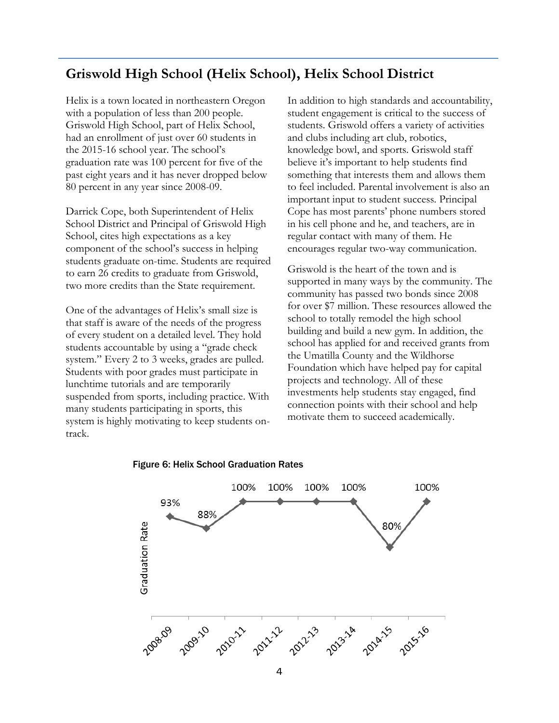# **Griswold High School (Helix School), Helix School District**

Helix is a town located in northeastern Oregon with a population of less than 200 people. Griswold High School, part of Helix School, had an enrollment of just over 60 students in the 2015-16 school year. The school's graduation rate was 100 percent for five of the past eight years and it has never dropped below 80 percent in any year since 2008-09.

Darrick Cope, both Superintendent of Helix School District and Principal of Griswold High School, cites high expectations as a key component of the school's success in helping students graduate on-time. Students are required to earn 26 credits to graduate from Griswold, two more credits than the State requirement.

One of the advantages of Helix's small size is that staff is aware of the needs of the progress of every student on a detailed level. They hold students accountable by using a "grade check system." Every 2 to 3 weeks, grades are pulled. Students with poor grades must participate in lunchtime tutorials and are temporarily suspended from sports, including practice. With many students participating in sports, this system is highly motivating to keep students ontrack.

In addition to high standards and accountability, student engagement is critical to the success of students. Griswold offers a variety of activities and clubs including art club, robotics, knowledge bowl, and sports. Griswold staff believe it's important to help students find something that interests them and allows them to feel included. Parental involvement is also an important input to student success. Principal Cope has most parents' phone numbers stored in his cell phone and he, and teachers, are in regular contact with many of them. He encourages regular two-way communication.

Griswold is the heart of the town and is supported in many ways by the community. The community has passed two bonds since 2008 for over \$7 million. These resources allowed the school to totally remodel the high school building and build a new gym. In addition, the school has applied for and received grants from the Umatilla County and the Wildhorse Foundation which have helped pay for capital projects and technology. All of these investments help students stay engaged, find connection points with their school and help motivate them to succeed academically.



#### Figure 6: Helix School Graduation Rates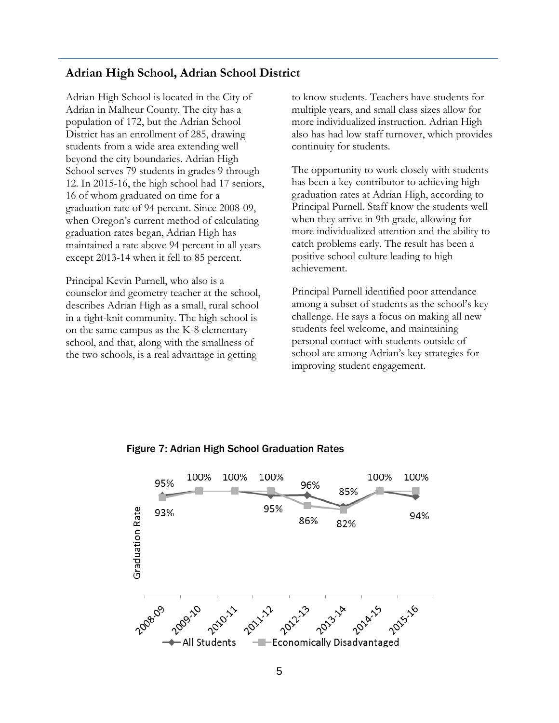### **Adrian High School, Adrian School District**

Adrian High School is located in the City of Adrian in Malheur County. The city has a population of 172, but the Adrian School District has an enrollment of 285, drawing students from a wide area extending well beyond the city boundaries. Adrian High School serves 79 students in grades 9 through 12. In 2015-16, the high school had 17 seniors, 16 of whom graduated on time for a graduation rate of 94 percent. Since 2008-09, when Oregon's current method of calculating graduation rates began, Adrian High has maintained a rate above 94 percent in all years except 2013-14 when it fell to 85 percent.

Principal Kevin Purnell, who also is a counselor and geometry teacher at the school, describes Adrian High as a small, rural school in a tight-knit community. The high school is on the same campus as the K-8 elementary school, and that, along with the smallness of the two schools, is a real advantage in getting

to know students. Teachers have students for multiple years, and small class sizes allow for more individualized instruction. Adrian High also has had low staff turnover, which provides continuity for students.

The opportunity to work closely with students has been a key contributor to achieving high graduation rates at Adrian High, according to Principal Purnell. Staff know the students well when they arrive in 9th grade, allowing for more individualized attention and the ability to catch problems early. The result has been a positive school culture leading to high achievement.

Principal Purnell identified poor attendance among a subset of students as the school's key challenge. He says a focus on making all new students feel welcome, and maintaining personal contact with students outside of school are among Adrian's key strategies for improving student engagement.



### Figure 7: Adrian High School Graduation Rates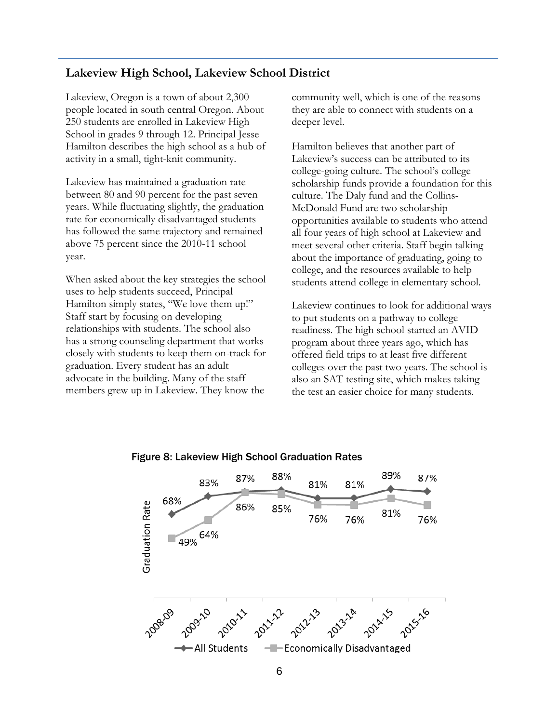### **Lakeview High School, Lakeview School District**

Lakeview, Oregon is a town of about 2,300 people located in south central Oregon. About 250 students are enrolled in Lakeview High School in grades 9 through 12. Principal Jesse Hamilton describes the high school as a hub of activity in a small, tight-knit community.

Lakeview has maintained a graduation rate between 80 and 90 percent for the past seven years. While fluctuating slightly, the graduation rate for economically disadvantaged students has followed the same trajectory and remained above 75 percent since the 2010-11 school year.

When asked about the key strategies the school uses to help students succeed, Principal Hamilton simply states, "We love them up!" Staff start by focusing on developing relationships with students. The school also has a strong counseling department that works closely with students to keep them on-track for graduation. Every student has an adult advocate in the building. Many of the staff members grew up in Lakeview. They know the

community well, which is one of the reasons they are able to connect with students on a deeper level.

Hamilton believes that another part of Lakeview's success can be attributed to its college-going culture. The school's college scholarship funds provide a foundation for this culture. The Daly fund and the Collins-McDonald Fund are two scholarship opportunities available to students who attend all four years of high school at Lakeview and meet several other criteria. Staff begin talking about the importance of graduating, going to college, and the resources available to help students attend college in elementary school.

Lakeview continues to look for additional ways to put students on a pathway to college readiness. The high school started an AVID program about three years ago, which has offered field trips to at least five different colleges over the past two years. The school is also an SAT testing site, which makes taking the test an easier choice for many students.



### Figure 8: Lakeview High School Graduation Rates